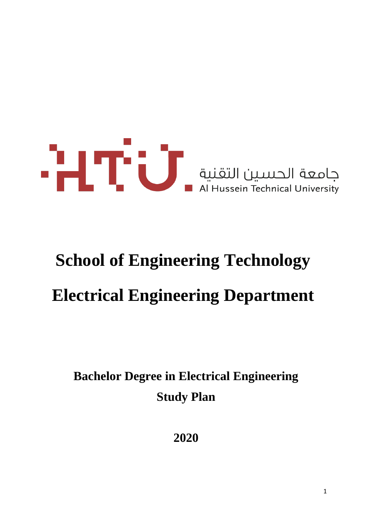

# **School of Engineering Technology Electrical Engineering Department**

**Bachelor Degree in Electrical Engineering Study Plan**

**2020**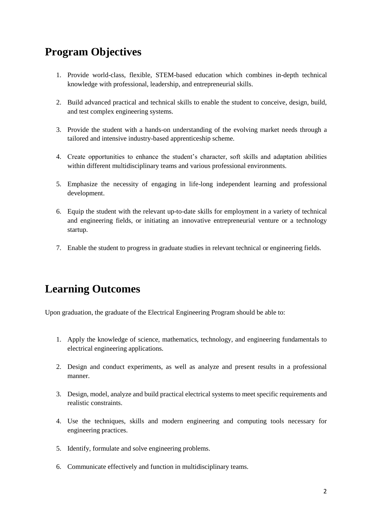# **Program Objectives**

- 1. Provide world-class, flexible, STEM-based education which combines in-depth technical knowledge with professional, leadership, and entrepreneurial skills.
- 2. Build advanced practical and technical skills to enable the student to conceive, design, build, and test complex engineering systems.
- 3. Provide the student with a hands-on understanding of the evolving market needs through a tailored and intensive industry-based apprenticeship scheme.
- 4. Create opportunities to enhance the student's character, soft skills and adaptation abilities within different multidisciplinary teams and various professional environments.
- 5. Emphasize the necessity of engaging in life-long independent learning and professional development.
- 6. Equip the student with the relevant up-to-date skills for employment in a variety of technical and engineering fields, or initiating an innovative entrepreneurial venture or a technology startup.
- 7. Enable the student to progress in graduate studies in relevant technical or engineering fields.

# **Learning Outcomes**

Upon graduation, the graduate of the Electrical Engineering Program should be able to:

- 1. Apply the knowledge of science, mathematics, technology, and engineering fundamentals to electrical engineering applications.
- 2. Design and conduct experiments, as well as analyze and present results in a professional manner.
- 3. Design, model, analyze and build practical electrical systems to meet specific requirements and realistic constraints.
- 4. Use the techniques, skills and modern engineering and computing tools necessary for engineering practices.
- 5. Identify, formulate and solve engineering problems.
- 6. Communicate effectively and function in multidisciplinary teams.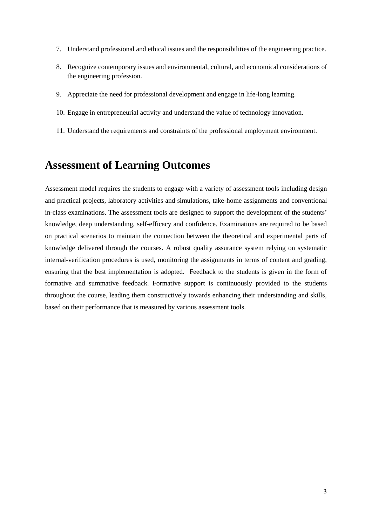- 7. Understand professional and ethical issues and the responsibilities of the engineering practice.
- 8. Recognize contemporary issues and environmental, cultural, and economical considerations of the engineering profession.
- 9. Appreciate the need for professional development and engage in life-long learning.
- 10. Engage in entrepreneurial activity and understand the value of technology innovation.
- 11. Understand the requirements and constraints of the professional employment environment.

# **Assessment of Learning Outcomes**

Assessment model requires the students to engage with a variety of assessment tools including design and practical projects, laboratory activities and simulations, take-home assignments and conventional in-class examinations. The assessment tools are designed to support the development of the students' knowledge, deep understanding, self-efficacy and confidence. Examinations are required to be based on practical scenarios to maintain the connection between the theoretical and experimental parts of knowledge delivered through the courses. A robust quality assurance system relying on systematic internal-verification procedures is used, monitoring the assignments in terms of content and grading, ensuring that the best implementation is adopted. Feedback to the students is given in the form of formative and summative feedback. Formative support is continuously provided to the students throughout the course, leading them constructively towards enhancing their understanding and skills, based on their performance that is measured by various assessment tools.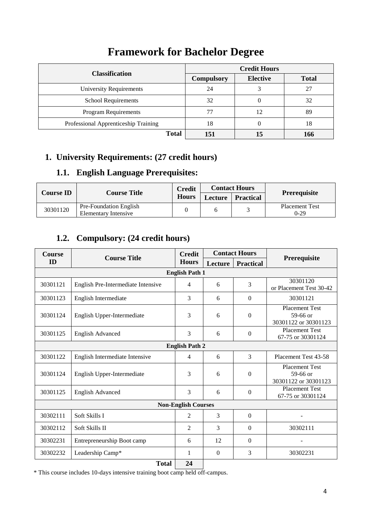# **Framework for Bachelor Degree**

| <b>Classification</b>                | <b>Credit Hours</b> |                 |              |  |  |  |
|--------------------------------------|---------------------|-----------------|--------------|--|--|--|
|                                      | <b>Compulsory</b>   | <b>Elective</b> | <b>Total</b> |  |  |  |
| University Requirements              | 24                  |                 | 27           |  |  |  |
| <b>School Requirements</b>           | 32                  |                 | 32           |  |  |  |
| <b>Program Requirements</b>          |                     | 12              | 89           |  |  |  |
| Professional Apprenticeship Training | 18                  |                 | 18           |  |  |  |
| <b>Total</b>                         |                     | 15              | 166          |  |  |  |

# **1. University Requirements: (27 credit hours)**

### **1.1. English Language Prerequisites:**

| <b>Course ID</b> |                                                | <b>Credit</b> | <b>Contact Hours</b> |                  | Prerequisite                    |
|------------------|------------------------------------------------|---------------|----------------------|------------------|---------------------------------|
|                  | <b>Course Title</b><br><b>Hours</b>            |               | Lecture              | <b>Practical</b> |                                 |
| 30301120         | Pre-Foundation English<br>Elementary Intensive |               |                      |                  | <b>Placement Test</b><br>$0-29$ |

# **1.2. Compulsory: (24 credit hours)**

| <b>Course</b>         | <b>Course Title</b>                | <b>Contact Hours</b><br><b>Credit</b> |               |                  |                                                             |  |  |  |
|-----------------------|------------------------------------|---------------------------------------|---------------|------------------|-------------------------------------------------------------|--|--|--|
| <b>ID</b>             |                                    | <b>Hours</b>                          | Lecture       | <b>Practical</b> | Prerequisite                                                |  |  |  |
|                       |                                    | <b>English Path 1</b>                 |               |                  |                                                             |  |  |  |
| 30301121              | English Pre-Intermediate Intensive | 4                                     | 6             | 3                | 30301120<br>or Placement Test 30-42                         |  |  |  |
| 30301123              | English Intermediate               | 3                                     | 6             | $\Omega$         | 30301121                                                    |  |  |  |
| 30301124              | English Upper-Intermediate         | 3                                     | 6             | $\Omega$         | <b>Placement Test</b><br>59-66 or<br>30301122 or 30301123   |  |  |  |
| 30301125              | <b>English Advanced</b>            | 3                                     | 6             | $\Omega$         | <b>Placement Test</b><br>67-75 or 30301124                  |  |  |  |
| <b>English Path 2</b> |                                    |                                       |               |                  |                                                             |  |  |  |
| 30301122              | English Intermediate Intensive     | 4                                     | 6             | 3                | Placement Test 43-58                                        |  |  |  |
| 30301124              | English Upper-Intermediate         | 3                                     | 6             | $\Omega$         | <b>Placement Test</b><br>$59-66$ or<br>30301122 or 30301123 |  |  |  |
| 30301125              | <b>English Advanced</b>            | 3                                     | 6             | $\Omega$         | <b>Placement Test</b><br>67-75 or 30301124                  |  |  |  |
|                       |                                    | <b>Non-English Courses</b>            |               |                  |                                                             |  |  |  |
| 30302111              | Soft Skills I                      | $\mathfrak{D}$                        | $\mathcal{E}$ | $\Omega$         |                                                             |  |  |  |
| 30302112              | Soft Skills II                     | $\overline{c}$                        | 3             | $\Omega$         | 30302111                                                    |  |  |  |
| 30302231              | Entrepreneurship Boot camp         | 6                                     | 12            | $\Omega$         |                                                             |  |  |  |
| 30302232              | Leadership Camp*                   | 1                                     | $\Omega$      | 3                | 30302231                                                    |  |  |  |
|                       | <b>Total</b><br>24                 |                                       |               |                  |                                                             |  |  |  |

\* This course includes 10-days intensive training boot camp held off-campus.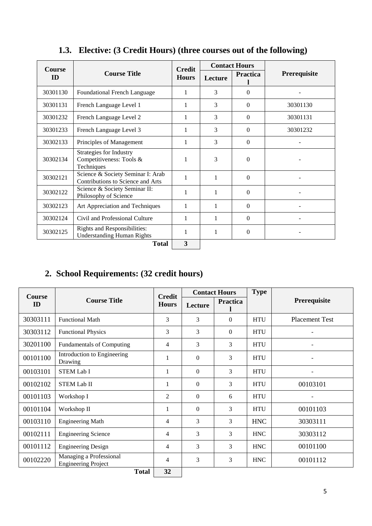| <b>Course</b> |                                                                        | <b>Credit</b> | <b>Contact Hours</b> |                 |                     |
|---------------|------------------------------------------------------------------------|---------------|----------------------|-----------------|---------------------|
| ID            | <b>Course Title</b>                                                    | <b>Hours</b>  | Lecture              | <b>Practica</b> | <b>Prerequisite</b> |
| 30301130      | <b>Foundational French Language</b>                                    | 1             | 3                    | $\Omega$        |                     |
| 30301131      | French Language Level 1                                                | 1             | 3                    | $\Omega$        | 30301130            |
| 30301232      | French Language Level 2                                                | 1             | 3                    | $\Omega$        | 30301131            |
| 30301233      | French Language Level 3                                                | 1             | 3                    | $\Omega$        | 30301232            |
| 30302133      | Principles of Management                                               | 1             | 3                    | $\Omega$        |                     |
| 30302134      | Strategies for Industry<br>Competitiveness: Tools &<br>Techniques      | 1             | 3                    | $\Omega$        |                     |
| 30302121      | Science & Society Seminar I: Arab<br>Contributions to Science and Arts | 1             | 1                    | $\Omega$        |                     |
| 30302122      | Science & Society Seminar II:<br>Philosophy of Science                 | 1             | 1                    | $\Omega$        |                     |
| 30302123      | Art Appreciation and Techniques                                        | 1             | 1                    | $\Omega$        |                     |
| 30302124      | Civil and Professional Culture                                         | 1             | 1                    | $\Omega$        |                     |
| 30302125      | Rights and Responsibilities:<br><b>Understanding Human Rights</b>      | 1             | 1                    | $\Omega$        |                     |
|               | <b>Total</b>                                                           | 3             |                      |                 |                     |

# **1.3. Elective: (3 Credit Hours) (three courses out of the following)**

# **2. School Requirements: (32 credit hours)**

| <b>Course</b> |                                                       | <b>Credit</b>  |          | <b>Contact Hours</b> | <b>Type</b> |                          |
|---------------|-------------------------------------------------------|----------------|----------|----------------------|-------------|--------------------------|
| <b>ID</b>     | <b>Course Title</b>                                   | <b>Hours</b>   | Lecture  | <b>Practica</b>      |             | Prerequisite             |
| 30303111      | <b>Functional Math</b>                                | 3              | 3        | $\theta$             | <b>HTU</b>  | <b>Placement Test</b>    |
| 30303112      | <b>Functional Physics</b>                             | 3              | 3        | $\theta$             | <b>HTU</b>  | $\overline{\phantom{a}}$ |
| 30201100      | <b>Fundamentals of Computing</b>                      | $\overline{4}$ | 3        | 3                    | <b>HTU</b>  |                          |
| 00101100      | Introduction to Engineering<br>Drawing                | 1              | $\Omega$ | 3                    | <b>HTU</b>  |                          |
| 00103101      | <b>STEM Lab I</b>                                     | 1              | $\Omega$ | 3                    | <b>HTU</b>  |                          |
| 00102102      | <b>STEM Lab II</b>                                    | 1              | $\Omega$ | 3                    | <b>HTU</b>  | 00103101                 |
| 00101103      | Workshop I                                            | 2              | $\Omega$ | 6                    | <b>HTU</b>  |                          |
| 00101104      | Workshop II                                           | 1              | $\Omega$ | 3                    | <b>HTU</b>  | 00101103                 |
| 00103110      | <b>Engineering Math</b>                               | 4              | 3        | 3                    | <b>HNC</b>  | 30303111                 |
| 00102111      | <b>Engineering Science</b>                            | $\overline{4}$ | 3        | 3                    | <b>HNC</b>  | 30303112                 |
| 00101112      | <b>Engineering Design</b>                             | $\overline{4}$ | 3        | 3                    | <b>HNC</b>  | 00101100                 |
| 00102220      | Managing a Professional<br><b>Engineering Project</b> | $\overline{4}$ | 3        | 3                    | <b>HNC</b>  | 00101112                 |
|               | <b>Total</b>                                          | 32             |          |                      |             |                          |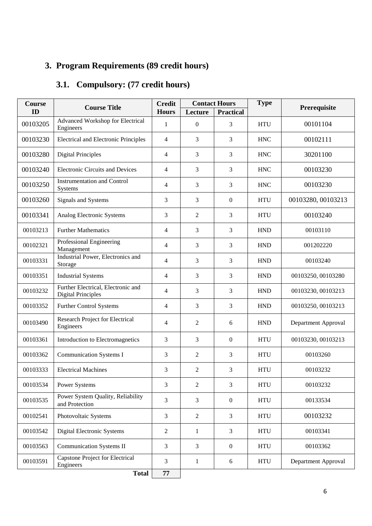# **3. Program Requirements (89 credit hours)**

# **3.1. Compulsory: (77 credit hours)**

| <b>Course</b> | <b>Course Title</b>                                             | <b>Credit</b>  |                | <b>Contact Hours</b> | <b>Type</b> | Prerequisite        |
|---------------|-----------------------------------------------------------------|----------------|----------------|----------------------|-------------|---------------------|
| ID            |                                                                 | <b>Hours</b>   | Lecture        | <b>Practical</b>     |             |                     |
| 00103205      | Advanced Workshop for Electrical<br>Engineers                   | 1              | $\Omega$       | 3                    | <b>HTU</b>  | 00101104            |
| 00103230      | <b>Electrical and Electronic Principles</b>                     | $\overline{4}$ | 3              | 3                    | <b>HNC</b>  | 00102111            |
| 00103280      | <b>Digital Principles</b>                                       | $\overline{4}$ | 3              | 3                    | <b>HNC</b>  | 30201100            |
| 00103240      | <b>Electronic Circuits and Devices</b>                          | $\overline{4}$ | 3              | 3                    | <b>HNC</b>  | 00103230            |
| 00103250      | <b>Instrumentation and Control</b><br>Systems                   | $\overline{4}$ | 3              | 3                    | <b>HNC</b>  | 00103230            |
| 00103260      | Signals and Systems                                             | 3              | 3              | $\mathbf{0}$         | <b>HTU</b>  | 00103280, 00103213  |
| 00103341      | Analog Electronic Systems                                       | $\overline{3}$ | $\overline{c}$ | 3                    | <b>HTU</b>  | 00103240            |
| 00103213      | <b>Further Mathematics</b>                                      | $\overline{4}$ | 3              | 3                    | <b>HND</b>  | 00103110            |
| 00102321      | Professional Engineering<br>Management                          | $\overline{4}$ | 3              | 3                    | <b>HND</b>  | 001202220           |
| 00103331      | Industrial Power, Electronics and<br>Storage                    | $\overline{4}$ | 3              | 3                    | <b>HND</b>  | 00103240            |
| 00103351      | <b>Industrial Systems</b>                                       | $\overline{4}$ | 3              | 3                    | <b>HND</b>  | 00103250, 00103280  |
| 00103232      | Further Electrical, Electronic and<br><b>Digital Principles</b> | $\overline{4}$ | 3              | 3                    | <b>HND</b>  | 00103230, 00103213  |
| 00103352      | Further Control Systems                                         | $\overline{4}$ | 3              | 3                    | <b>HND</b>  | 00103250, 00103213  |
| 00103490      | Research Project for Electrical<br>Engineers                    | $\overline{4}$ | $\overline{2}$ | 6                    | <b>HND</b>  | Department Approval |
| 00103361      | Introduction to Electromagnetics                                | 3              | 3              | $\mathbf{0}$         | <b>HTU</b>  | 00103230, 00103213  |
| 00103362      | <b>Communication Systems I</b>                                  | $\overline{3}$ | $\overline{2}$ | 3                    | <b>HTU</b>  | 00103260            |
| 00103333      | <b>Electrical Machines</b>                                      | $\overline{3}$ | $\overline{2}$ | 3                    | <b>HTU</b>  | 00103232            |
| 00103534      | Power Systems                                                   | $\overline{3}$ | $\overline{2}$ | 3                    | <b>HTU</b>  | 00103232            |
| 00103535      | Power System Quality, Reliability<br>and Protection             | $\overline{3}$ | 3              | $\boldsymbol{0}$     | <b>HTU</b>  | 00133534            |
| 00102541      | Photovoltaic Systems                                            | $\overline{3}$ | $\overline{2}$ | $\overline{3}$       | <b>HTU</b>  | 00103232            |
| 00103542      | Digital Electronic Systems                                      | $\sqrt{2}$     | $\mathbf{1}$   | $\mathfrak{Z}$       | <b>HTU</b>  | 00103341            |
| 00103563      | <b>Communication Systems II</b>                                 | $\mathfrak{Z}$ | 3              | $\boldsymbol{0}$     | <b>HTU</b>  | 00103362            |
| 00103591      | <b>Capstone Project for Electrical</b><br>Engineers             | $\mathfrak{Z}$ | $\mathbf{1}$   | $6\,$                | <b>HTU</b>  | Department Approval |
|               | <b>Total</b>                                                    | 77             |                |                      |             |                     |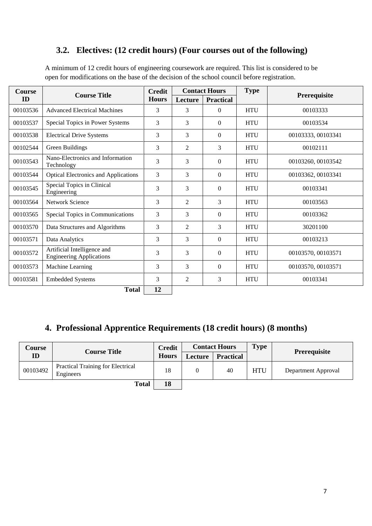### **3.2. Electives: (12 credit hours) (Four courses out of the following)**

| <b>Course</b> | <b>Course Title</b>                                            | <b>Credit</b> |                | <b>Contact Hours</b> |            |                    |
|---------------|----------------------------------------------------------------|---------------|----------------|----------------------|------------|--------------------|
| ID            |                                                                | <b>Hours</b>  | Lecture        | <b>Practical</b>     |            | Prerequisite       |
| 00103536      | <b>Advanced Electrical Machines</b>                            | 3             | 3              | $\overline{0}$       | <b>HTU</b> | 00103333           |
| 00103537      | Special Topics in Power Systems                                | 3             | 3              | $\overline{0}$       | <b>HTU</b> | 00103534           |
| 00103538      | <b>Electrical Drive Systems</b>                                | 3             | 3              | $\overline{0}$       | <b>HTU</b> | 00103333, 00103341 |
| 00102544      | Green Buildings                                                | 3             | $\overline{c}$ | 3                    | <b>HTU</b> | 00102111           |
| 00103543      | Nano-Electronics and Information<br>Technology                 | 3             | 3              | $\Omega$             | <b>HTU</b> | 00103260, 00103542 |
| 00103544      | <b>Optical Electronics and Applications</b>                    | 3             | 3              | $\theta$             | <b>HTU</b> | 00103362, 00103341 |
| 00103545      | Special Topics in Clinical<br>Engineering                      | 3             | $\overline{3}$ | $\overline{0}$       | <b>HTU</b> | 00103341           |
| 00103564      | <b>Network Science</b>                                         | 3             | $\overline{2}$ | 3                    | <b>HTU</b> | 00103563           |
| 00103565      | Special Topics in Communications                               | 3             | 3              | $\Omega$             | <b>HTU</b> | 00103362           |
| 00103570      | Data Structures and Algorithms                                 | 3             | $\overline{2}$ | 3                    | <b>HTU</b> | 30201100           |
| 00103571      | Data Analytics                                                 | 3             | $\overline{3}$ | $\theta$             | <b>HTU</b> | 00103213           |
| 00103572      | Artificial Intelligence and<br><b>Engineering Applications</b> | 3             | 3              | $\mathbf{0}$         | <b>HTU</b> | 00103570, 00103571 |
| 00103573      | Machine Learning                                               | 3             | 3              | $\Omega$             | <b>HTU</b> | 00103570, 00103571 |
| 00103581      | <b>Embedded Systems</b>                                        | 3             | $\overline{2}$ | 3                    | <b>HTU</b> | 00103341           |
|               | <b>Total</b>                                                   | 12            |                |                      |            |                    |

A minimum of 12 credit hours of engineering coursework are required. This list is considered to be open for modifications on the base of the decision of the school council before registration.

# **4. Professional Apprentice Requirements (18 credit hours) (8 months)**

| <b>Course</b> | <b>Course Title</b>                                   | <b>Credit</b> |                | <b>Contact Hours</b> | <b>Type</b> |                     |
|---------------|-------------------------------------------------------|---------------|----------------|----------------------|-------------|---------------------|
| ID            |                                                       | <b>Hours</b>  | <b>Lecture</b> | <b>Practical</b>     |             | <b>Prerequisite</b> |
| 00103492      | <b>Practical Training for Electrical</b><br>Engineers | 18            |                | 40                   | <b>HTU</b>  | Department Approval |
|               | <b>Total</b>                                          | 18            |                |                      |             |                     |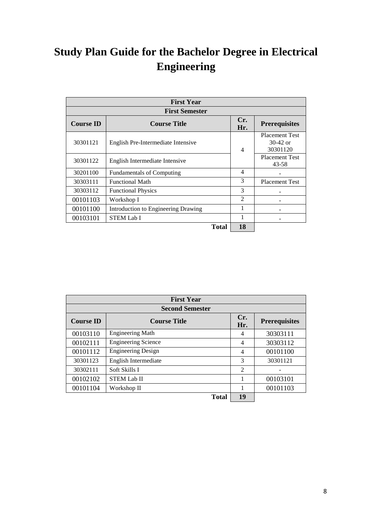# **Study Plan Guide for the Bachelor Degree in Electrical Engineering**

| <b>First Year</b> |                                     |                          |                                                 |  |
|-------------------|-------------------------------------|--------------------------|-------------------------------------------------|--|
|                   | <b>First Semester</b>               |                          |                                                 |  |
| <b>Course ID</b>  | <b>Course Title</b>                 | Cr.<br>Hr.               | <b>Prerequisites</b>                            |  |
| 30301121          | English Pre-Intermediate Intensive  | $\overline{4}$           | <b>Placement Test</b><br>$30-42$ or<br>30301120 |  |
| 30301122          | English Intermediate Intensive      |                          | <b>Placement Test</b><br>43-58                  |  |
| 30201100          | <b>Fundamentals of Computing</b>    | $\overline{\mathcal{A}}$ |                                                 |  |
| 30303111          | <b>Functional Math</b>              | 3                        | <b>Placement Test</b>                           |  |
| 30303112          | <b>Functional Physics</b>           | $\mathcal{F}$            |                                                 |  |
| 00101103          | Workshop I                          | 2                        |                                                 |  |
| 00101100          | Introduction to Engineering Drawing |                          |                                                 |  |
| 00103101          | <b>STEM Lab I</b>                   |                          |                                                 |  |
|                   | Total                               | 18                       |                                                 |  |

| <b>First Year</b> |                            |                |                      |  |  |
|-------------------|----------------------------|----------------|----------------------|--|--|
|                   | <b>Second Semester</b>     |                |                      |  |  |
| <b>Course ID</b>  | <b>Course Title</b>        | Cr.<br>Hr.     | <b>Prerequisites</b> |  |  |
| 00103110          | <b>Engineering Math</b>    | 4              | 30303111             |  |  |
| 00102111          | <b>Engineering Science</b> | 4              | 30303112             |  |  |
| 00101112          | <b>Engineering Design</b>  | 4              | 00101100             |  |  |
| 30301123          | English Intermediate       | 3              | 30301121             |  |  |
| 30302111          | Soft Skills I              | $\mathfrak{D}$ |                      |  |  |
| 00102102          | <b>STEM Lab II</b>         | 1              | 00103101             |  |  |
| 00101104          | Workshop II                |                | 00101103             |  |  |
|                   | <b>Total</b>               | 19             |                      |  |  |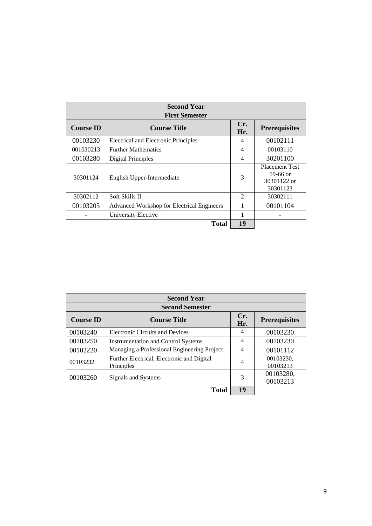| <b>Second Year</b> |                                            |                             |                                                              |  |  |
|--------------------|--------------------------------------------|-----------------------------|--------------------------------------------------------------|--|--|
|                    | <b>First Semester</b>                      |                             |                                                              |  |  |
| <b>Course ID</b>   | <b>Course Title</b>                        | Cr.<br>Hr.                  | <b>Prerequisites</b>                                         |  |  |
| 00103230           | Electrical and Electronic Principles       | 4                           | 00102111                                                     |  |  |
| 001030213          | <b>Further Mathematics</b>                 | 4                           | 00103110                                                     |  |  |
| 00103280           | <b>Digital Principles</b>                  | $\overline{4}$              | 30201100                                                     |  |  |
| 30301124           | English Upper-Intermediate                 | 3                           | <b>Placement Test</b><br>59-66 or<br>30301122 or<br>30301123 |  |  |
| 30302112           | Soft Skills II                             | $\mathcal{D}_{\mathcal{L}}$ | 30302111                                                     |  |  |
| 00103205           | Advanced Workshop for Electrical Engineers |                             | 00101104                                                     |  |  |
|                    | University Elective                        | 1                           |                                                              |  |  |
|                    | <b>Total</b>                               | 19                          |                                                              |  |  |

| <b>Second Year</b> |                                                          |            |                       |  |  |
|--------------------|----------------------------------------------------------|------------|-----------------------|--|--|
|                    | <b>Second Semester</b>                                   |            |                       |  |  |
| <b>Course ID</b>   | <b>Course Title</b>                                      | Cr.<br>Hr. | <b>Prerequisites</b>  |  |  |
| 00103240           | <b>Electronic Circuits and Devices</b>                   | 4          | 00103230              |  |  |
| 00103250           | <b>Instrumentation and Control Systems</b>               | 4          | 00103230              |  |  |
| 00102220           | Managing a Professional Engineering Project              | 4          | 00101112              |  |  |
| 00103232           | Further Electrical, Electronic and Digital<br>Principles | 4          | 00103230,<br>00103213 |  |  |
| 00103260           | Signals and Systems                                      | 3          | 00103280,<br>00103213 |  |  |
|                    | Total                                                    | 19         |                       |  |  |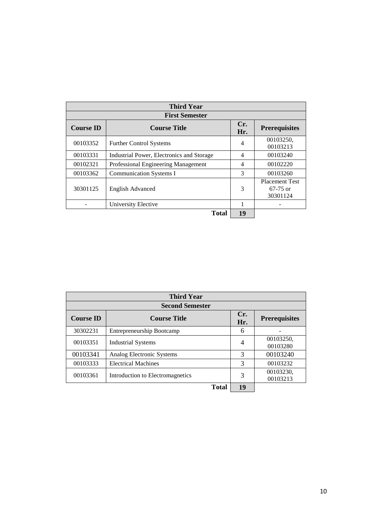| <b>Third Year</b>                       |                                           |                |                                                 |  |
|-----------------------------------------|-------------------------------------------|----------------|-------------------------------------------------|--|
|                                         | <b>First Semester</b>                     |                |                                                 |  |
| <b>Course ID</b><br><b>Course Title</b> |                                           |                | <b>Prerequisites</b>                            |  |
| 00103352                                | <b>Further Control Systems</b>            | 4              | 00103250,<br>00103213                           |  |
| 00103331                                | Industrial Power, Electronics and Storage | 4              | 00103240                                        |  |
| 00102321                                | Professional Engineering Management       | $\overline{4}$ | 00102220                                        |  |
| 00103362                                | <b>Communication Systems I</b>            | 3              | 00103260                                        |  |
| 30301125<br>English Advanced            |                                           | 3              | <b>Placement Test</b><br>$67-75$ or<br>30301124 |  |
|                                         | University Elective                       |                |                                                 |  |
|                                         | <b>Total</b>                              | 19             |                                                 |  |

| <b>Third Year</b> |                                  |                |                       |  |
|-------------------|----------------------------------|----------------|-----------------------|--|
|                   | <b>Second Semester</b>           |                |                       |  |
| <b>Course ID</b>  | <b>Course Title</b>              | Cr.<br>Hr.     | <b>Prerequisites</b>  |  |
| 30302231          | Entrepreneurship Bootcamp        | 6              |                       |  |
| 00103351          | <b>Industrial Systems</b>        | $\overline{4}$ | 00103250,<br>00103280 |  |
| 00103341          | Analog Electronic Systems        | 3              | 00103240              |  |
| 00103333          | <b>Electrical Machines</b>       | 3              | 00103232              |  |
| 00103361          | Introduction to Electromagnetics | 3              | 00103230,<br>00103213 |  |
|                   | <b>Total</b>                     | 19             |                       |  |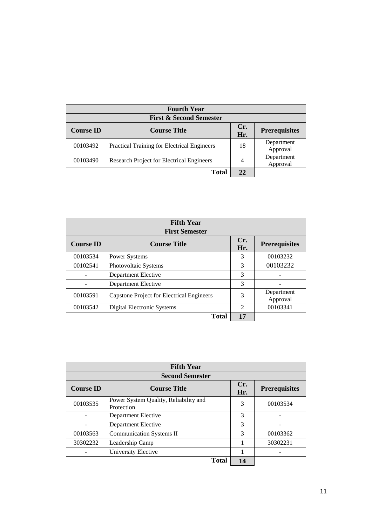| <b>Fourth Year</b> |                                                    |     |                        |  |  |
|--------------------|----------------------------------------------------|-----|------------------------|--|--|
|                    | <b>First &amp; Second Semester</b>                 |     |                        |  |  |
| <b>Course ID</b>   | <b>Course Title</b>                                | Cr. | <b>Prerequisites</b>   |  |  |
|                    |                                                    | Hr. |                        |  |  |
| 00103492           | <b>Practical Training for Electrical Engineers</b> | 18  | Department<br>Approval |  |  |
| 00103490           | Research Project for Electrical Engineers          | 4   | Department<br>Approval |  |  |
|                    | <b>Total</b>                                       | 22  |                        |  |  |

| <b>Fifth Year</b> |                                           |                             |                        |  |  |
|-------------------|-------------------------------------------|-----------------------------|------------------------|--|--|
|                   | <b>First Semester</b>                     |                             |                        |  |  |
| <b>Course ID</b>  | <b>Course Title</b>                       | Cr.<br>Hr.                  | <b>Prerequisites</b>   |  |  |
| 00103534          | Power Systems                             | 3                           | 00103232               |  |  |
| 00102541          | Photovoltaic Systems                      | 3                           | 00103232               |  |  |
|                   | Department Elective                       | 3                           |                        |  |  |
|                   | Department Elective                       | 3                           |                        |  |  |
| 00103591          | Capstone Project for Electrical Engineers | 3                           | Department<br>Approval |  |  |
| 00103542          | <b>Digital Electronic Systems</b>         | $\mathcal{D}_{\mathcal{L}}$ | 00103341               |  |  |
|                   | Total                                     | 17                          |                        |  |  |

| <b>Fifth Year</b> |                                                     |            |                      |  |  |
|-------------------|-----------------------------------------------------|------------|----------------------|--|--|
|                   | <b>Second Semester</b>                              |            |                      |  |  |
| <b>Course ID</b>  | <b>Course Title</b>                                 | Cr.<br>Hr. | <b>Prerequisites</b> |  |  |
| 00103535          | Power System Quality, Reliability and<br>Protection | 3          | 00103534             |  |  |
|                   | Department Elective                                 | 3          |                      |  |  |
|                   | Department Elective                                 | 3          |                      |  |  |
| 00103563          | <b>Communication Systems II</b>                     | 3          | 00103362             |  |  |
| 30302232          | Leadership Camp                                     |            | 30302231             |  |  |
|                   | University Elective                                 |            |                      |  |  |
|                   | <b>Total</b>                                        | 14         |                      |  |  |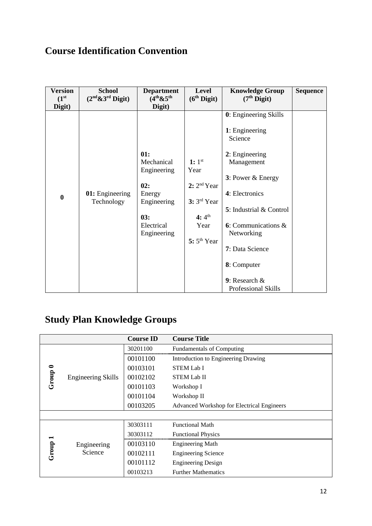# **Course Identification Convention**

| <b>Version</b><br>(1 <sup>st</sup> )<br>Digit) | <b>School</b><br>$(2nd \& 3rd$ Digit) | <b>Department</b><br>$(4th \& 5th$<br>Digit)                                                         | Level<br>(6 <sup>th</sup> Digit)                                                                       | <b>Knowledge Group</b><br>$(7th$ Digit)                                                                                                                                                                                                                                             | <b>Sequence</b> |
|------------------------------------------------|---------------------------------------|------------------------------------------------------------------------------------------------------|--------------------------------------------------------------------------------------------------------|-------------------------------------------------------------------------------------------------------------------------------------------------------------------------------------------------------------------------------------------------------------------------------------|-----------------|
| $\bf{0}$                                       | 01: Engineering<br>Technology         | 01:<br>Mechanical<br>Engineering<br>02:<br>Energy<br>Engineering<br>03:<br>Electrical<br>Engineering | 1: $1^{st}$<br>Year<br>2: 2 <sup>nd</sup> Year<br>$3: 3rd$ Year<br>4: $4^{th}$<br>Year<br>$5:5th$ Year | 0: Engineering Skills<br>1: Engineering<br>Science<br>2: Engineering<br>Management<br>$3:$ Power & Energy<br>4: Electronics<br>5: Industrial & Control<br><b>6</b> : Communications $\&$<br>Networking<br>7: Data Science<br>8: Computer<br>9: Research $\&$<br>Professional Skills |                 |

# **Study Plan Knowledge Groups**

|                    |                           | <b>Course ID</b> | <b>Course Title</b>                        |
|--------------------|---------------------------|------------------|--------------------------------------------|
|                    |                           | 30201100         | <b>Fundamentals of Computing</b>           |
|                    |                           | 00101100         | Introduction to Engineering Drawing        |
|                    |                           | 00103101         | <b>STEM Lab I</b>                          |
| Group <sup>0</sup> | <b>Engineering Skills</b> | 00102102         | <b>STEM Lab II</b>                         |
|                    |                           | 00101103         | Workshop I                                 |
|                    |                           | 00101104         | Workshop II                                |
|                    |                           | 00103205         | Advanced Workshop for Electrical Engineers |
|                    |                           |                  |                                            |
|                    |                           | 30303111         | <b>Functional Math</b>                     |
|                    |                           | 30303112         | <b>Functional Physics</b>                  |
| Group 1            | Engineering               | 00103110         | <b>Engineering Math</b>                    |
|                    | Science                   | 00102111         | <b>Engineering Science</b>                 |
|                    |                           | 00101112         | <b>Engineering Design</b>                  |
|                    |                           | 00103213         | <b>Further Mathematics</b>                 |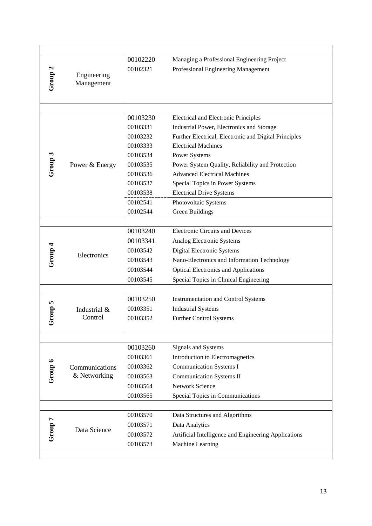|                    |                           | 00102220 | Managing a Professional Engineering Project           |
|--------------------|---------------------------|----------|-------------------------------------------------------|
|                    |                           | 00102321 | Professional Engineering Management                   |
| Group <sub>2</sub> | Engineering<br>Management |          |                                                       |
|                    |                           |          |                                                       |
|                    |                           |          |                                                       |
|                    |                           |          |                                                       |
|                    |                           | 00103230 | <b>Electrical and Electronic Principles</b>           |
|                    |                           | 00103331 | Industrial Power, Electronics and Storage             |
|                    |                           | 00103232 | Further Electrical, Electronic and Digital Principles |
|                    |                           | 00103333 | <b>Electrical Machines</b>                            |
| Group 3            |                           | 00103534 | <b>Power Systems</b>                                  |
|                    | Power & Energy            | 00103535 | Power System Quality, Reliability and Protection      |
|                    |                           | 00103536 | <b>Advanced Electrical Machines</b>                   |
|                    |                           | 00103537 | Special Topics in Power Systems                       |
|                    |                           | 00103538 | <b>Electrical Drive Systems</b>                       |
|                    |                           | 00102541 | Photovoltaic Systems                                  |
|                    |                           | 00102544 | Green Buildings                                       |
|                    |                           |          |                                                       |
|                    |                           | 00103240 | <b>Electronic Circuits and Devices</b>                |
|                    |                           | 00103341 | Analog Electronic Systems                             |
|                    | Electronics               | 00103542 | Digital Electronic Systems                            |
| Group 4            |                           | 00103543 | Nano-Electronics and Information Technology           |
|                    |                           | 00103544 | <b>Optical Electronics and Applications</b>           |
|                    |                           | 00103545 | Special Topics in Clinical Engineering                |
|                    |                           |          |                                                       |
|                    |                           | 00103250 | <b>Instrumentation and Control Systems</b>            |
|                    | Industrial &              | 00103351 | <b>Industrial Systems</b>                             |
| Group 5            | Control                   | 00103352 | Further Control Systems                               |
|                    |                           |          |                                                       |
|                    |                           |          |                                                       |
|                    |                           | 00103260 | Signals and Systems                                   |
|                    |                           | 00103361 | Introduction to Electromagnetics                      |
|                    | Communications            | 00103362 | <b>Communication Systems I</b>                        |
| Group 6            | & Networking              | 00103563 | <b>Communication Systems II</b>                       |
|                    |                           | 00103564 | <b>Network Science</b>                                |
|                    |                           | 00103565 | Special Topics in Communications                      |
|                    |                           |          |                                                       |
|                    |                           | 00103570 | Data Structures and Algorithms                        |
| Group 7            | Data Science              | 00103571 | Data Analytics                                        |
|                    |                           | 00103572 | Artificial Intelligence and Engineering Applications  |
|                    |                           | 00103573 | Machine Learning                                      |
|                    |                           |          |                                                       |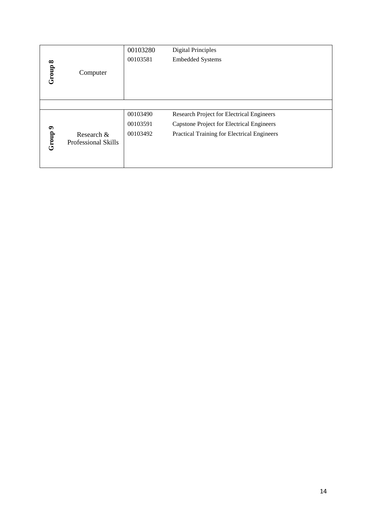|          |                            | 00103280 | <b>Digital Principles</b>                        |
|----------|----------------------------|----------|--------------------------------------------------|
| $\infty$ |                            | 00103581 | <b>Embedded Systems</b>                          |
| Group    | Computer                   |          |                                                  |
|          |                            |          |                                                  |
|          |                            |          |                                                  |
|          |                            |          |                                                  |
|          |                            | 00103490 | Research Project for Electrical Engineers        |
|          |                            | 00103591 | <b>Capstone Project for Electrical Engineers</b> |
|          | Research &                 | 00103492 | Practical Training for Electrical Engineers      |
| Group 9  | <b>Professional Skills</b> |          |                                                  |
|          |                            |          |                                                  |
|          |                            |          |                                                  |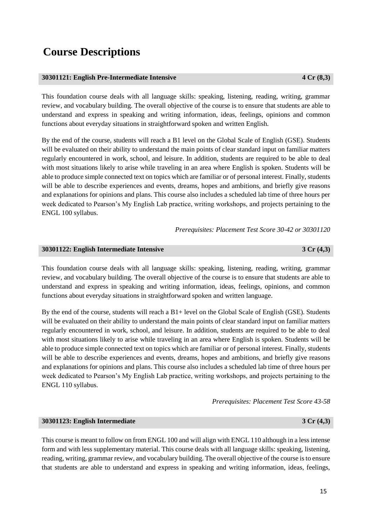# **Course Descriptions**

### **30301121: English Pre-Intermediate Intensive 4 Cr (8,3)**

This foundation course deals with all language skills: speaking, listening, reading, writing, grammar review, and vocabulary building. The overall objective of the course is to ensure that students are able to understand and express in speaking and writing information, ideas, feelings, opinions and common functions about everyday situations in straightforward spoken and written English.

By the end of the course, students will reach a B1 level on the Global Scale of English (GSE). Students will be evaluated on their ability to understand the main points of clear standard input on familiar matters regularly encountered in work, school, and leisure. In addition, students are required to be able to deal with most situations likely to arise while traveling in an area where English is spoken. Students will be able to produce simple connected text on topics which are familiar or of personal interest. Finally, students will be able to describe experiences and events, dreams, hopes and ambitions, and briefly give reasons and explanations for opinions and plans. This course also includes a scheduled lab time of three hours per week dedicated to Pearson's My English Lab practice, writing workshops, and projects pertaining to the ENGL 100 syllabus.

*Prerequisites: Placement Test Score 30-42 or 30301120*

### **30301122: English Intermediate Intensive 3 Cr (4,3)**

This foundation course deals with all language skills: speaking, listening, reading, writing, grammar review, and vocabulary building. The overall objective of the course is to ensure that students are able to understand and express in speaking and writing information, ideas, feelings, opinions, and common functions about everyday situations in straightforward spoken and written language.

By the end of the course, students will reach a  $B1+$  level on the Global Scale of English (GSE). Students will be evaluated on their ability to understand the main points of clear standard input on familiar matters regularly encountered in work, school, and leisure. In addition, students are required to be able to deal with most situations likely to arise while traveling in an area where English is spoken. Students will be able to produce simple connected text on topics which are familiar or of personal interest. Finally, students will be able to describe experiences and events, dreams, hopes and ambitions, and briefly give reasons and explanations for opinions and plans. This course also includes a scheduled lab time of three hours per week dedicated to Pearson's My English Lab practice, writing workshops, and projects pertaining to the ENGL 110 syllabus.

*Prerequisites: Placement Test Score 43-58*

### **30301123: English Intermediate 3 Cr (4,3)**

This course is meant to follow on from ENGL 100 and will align with ENGL 110 although in a less intense form and with less supplementary material. This course deals with all language skills: speaking, listening, reading, writing, grammar review, and vocabulary building. The overall objective of the course is to ensure that students are able to understand and express in speaking and writing information, ideas, feelings,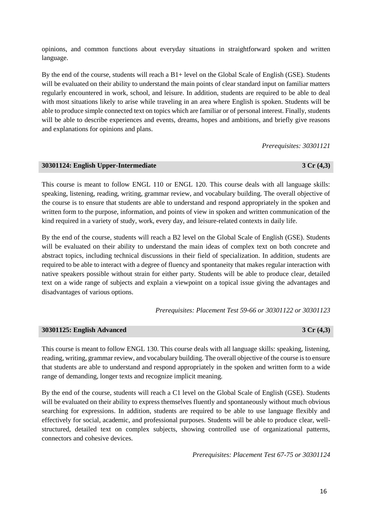opinions, and common functions about everyday situations in straightforward spoken and written language.

By the end of the course, students will reach a B1+ level on the Global Scale of English (GSE). Students will be evaluated on their ability to understand the main points of clear standard input on familiar matters regularly encountered in work, school, and leisure. In addition, students are required to be able to deal with most situations likely to arise while traveling in an area where English is spoken. Students will be able to produce simple connected text on topics which are familiar or of personal interest. Finally, students will be able to describe experiences and events, dreams, hopes and ambitions, and briefly give reasons and explanations for opinions and plans.

*Prerequisites: 30301121*

#### **30301124: English Upper-Intermediate 3 Cr (4,3)**

This course is meant to follow ENGL 110 or ENGL 120. This course deals with all language skills: speaking, listening, reading, writing, grammar review, and vocabulary building. The overall objective of the course is to ensure that students are able to understand and respond appropriately in the spoken and written form to the purpose, information, and points of view in spoken and written communication of the kind required in a variety of study, work, every day, and leisure-related contexts in daily life.

By the end of the course, students will reach a B2 level on the Global Scale of English (GSE). Students will be evaluated on their ability to understand the main ideas of complex text on both concrete and abstract topics, including technical discussions in their field of specialization. In addition, students are required to be able to interact with a degree of fluency and spontaneity that makes regular interaction with native speakers possible without strain for either party. Students will be able to produce clear, detailed text on a wide range of subjects and explain a viewpoint on a topical issue giving the advantages and disadvantages of various options.

*Prerequisites: Placement Test 59-66 or 30301122 or 30301123*

#### **30301125: English Advanced 3 Cr (4,3)**

This course is meant to follow ENGL 130. This course deals with all language skills: speaking, listening, reading, writing, grammar review, and vocabulary building. The overall objective of the course is to ensure that students are able to understand and respond appropriately in the spoken and written form to a wide range of demanding, longer texts and recognize implicit meaning.

By the end of the course, students will reach a C1 level on the Global Scale of English (GSE). Students will be evaluated on their ability to express themselves fluently and spontaneously without much obvious searching for expressions. In addition, students are required to be able to use language flexibly and effectively for social, academic, and professional purposes. Students will be able to produce clear, wellstructured, detailed text on complex subjects, showing controlled use of organizational patterns, connectors and cohesive devices.

*Prerequisites: Placement Test 67-75 or 30301124*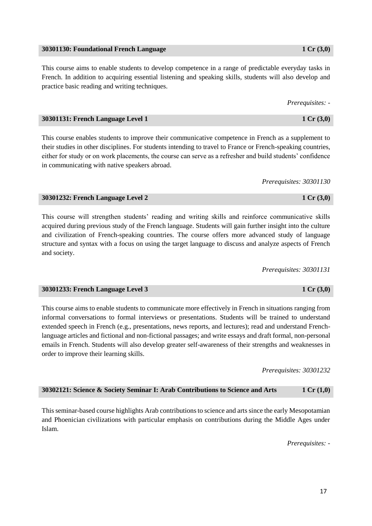#### **30301130: Foundational French Language 1 Cr (3,0)**

This course aims to enable students to develop competence in a range of predictable everyday tasks in French. In addition to acquiring essential listening and speaking skills, students will also develop and practice basic reading and writing techniques.

*Prerequisites: -*

#### **30301131: French Language Level 1 1 Cr (3,0)**

This course enables students to improve their communicative competence in French as a supplement to their studies in other disciplines. For students intending to travel to France or French-speaking countries, either for study or on work placements, the course can serve as a refresher and build students' confidence in communicating with native speakers abroad.

*Prerequisites: 30301130*

#### **30301232: French Language Level 2 1 Cr (3,0)**

This course will strengthen students' reading and writing skills and reinforce communicative skills acquired during previous study of the French language. Students will gain further insight into the culture and civilization of French-speaking countries. The course offers more advanced study of language structure and syntax with a focus on using the target language to discuss and analyze aspects of French and society.

*Prerequisites: 30301131*

#### **30301233: French Language Level 3 1 Cr (3,0)**

This course aims to enable students to communicate more effectively in French in situations ranging from informal conversations to formal interviews or presentations. Students will be trained to understand extended speech in French (e.g., presentations, news reports, and lectures); read and understand Frenchlanguage articles and fictional and non-fictional passages; and write essays and draft formal, non-personal emails in French. Students will also develop greater self-awareness of their strengths and weaknesses in order to improve their learning skills.

*Prerequisites: 30301232*

### **30302121: Science & Society Seminar I: Arab Contributions to Science and Arts 1 Cr (1,0)**

This seminar-based course highlights Arab contributions to science and arts since the early Mesopotamian and Phoenician civilizations with particular emphasis on contributions during the Middle Ages under Islam.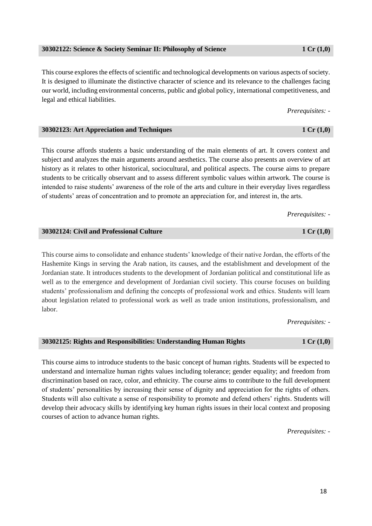#### **30302122: Science & Society Seminar II: Philosophy of Science 1 Cr (1,0)**

This course explores the effects of scientific and technological developments on various aspects of society. It is designed to illuminate the distinctive character of science and its relevance to the challenges facing our world, including environmental concerns, public and global policy, international competitiveness, and legal and ethical liabilities.

*Prerequisites: -*

This course affords students a basic understanding of the main elements of art. It covers context and subject and analyzes the main arguments around aesthetics. The course also presents an overview of art history as it relates to other historical, sociocultural, and political aspects. The course aims to prepare students to be critically observant and to assess different symbolic values within artwork. The course is intended to raise students' awareness of the role of the arts and culture in their everyday lives regardless of students' areas of concentration and to promote an appreciation for, and interest in, the arts.

**30302123: Art Appreciation and Techniques 1 Cr (1,0)**

**30302124: Civil and Professional Culture 1 Cr (1,0)** This course aims to consolidate and enhance students' knowledge of their native Jordan, the efforts of the Hashemite Kings in serving the Arab nation, its causes, and the establishment and development of the Jordanian state. It introduces students to the development of Jordanian political and constitutional life as well as to the emergence and development of Jordanian civil society. This course focuses on building students' professionalism and defining the concepts of professional work and ethics. Students will learn

about legislation related to professional work as well as trade union institutions, professionalism, and labor.

*Prerequisites: -*

### **30302125: Rights and Responsibilities: Understanding Human Rights 1 Cr (1,0)**

This course aims to introduce students to the basic concept of human rights. Students will be expected to understand and internalize human rights values including tolerance; gender equality; and freedom from discrimination based on race, color, and ethnicity. The course aims to contribute to the full development of students' personalities by increasing their sense of dignity and appreciation for the rights of others. Students will also cultivate a sense of responsibility to promote and defend others' rights. Students will develop their advocacy skills by identifying key human rights issues in their local context and proposing courses of action to advance human rights.

*Prerequisites: -*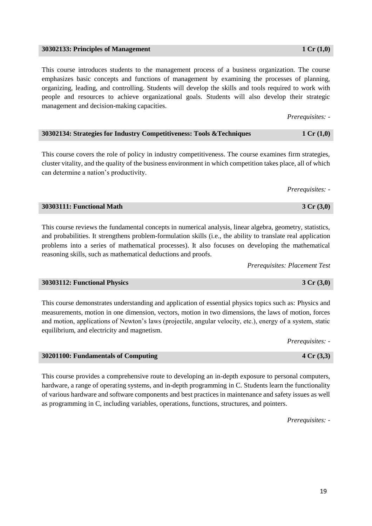#### **30302133: Principles of Management 1 Cr (1,0)**

This course introduces students to the management process of a business organization. The course emphasizes basic concepts and functions of management by examining the processes of planning, organizing, leading, and controlling. Students will develop the skills and tools required to work with people and resources to achieve organizational goals. Students will also develop their strategic management and decision-making capacities.

*Prerequisites: -*

| 30302134: Strategies for Industry Competitiveness: Tools & Techniques | 1 Cr $(1,0)$ |
|-----------------------------------------------------------------------|--------------|
|-----------------------------------------------------------------------|--------------|

This course covers the role of policy in industry competitiveness. The course examines firm strategies, cluster vitality, and the quality of the business environment in which competition takes place, all of which can determine a nation's productivity.

*Prerequisites: -*

#### **30303111: Functional Math 3 Cr (3,0)**

This course reviews the fundamental concepts in numerical analysis, linear algebra, geometry, statistics, and probabilities. It strengthens problem-formulation skills (i.e., the ability to translate real application problems into a series of mathematical processes). It also focuses on developing the mathematical reasoning skills, such as mathematical deductions and proofs.

*Prerequisites: Placement Test*

#### **30303112: Functional Physics 3 Cr (3,0)**

This course demonstrates understanding and application of essential physics topics such as: Physics and measurements, motion in one dimension, vectors, motion in two dimensions, the laws of motion, forces and motion, applications of Newton's laws (projectile, angular velocity, etc.), energy of a system, static equilibrium, and electricity and magnetism.

*Prerequisites: -*

This course provides a comprehensive route to developing an in-depth exposure to personal computers, hardware, a range of operating systems, and in-depth programming in C. Students learn the functionality of various hardware and software components and best practices in maintenance and safety issues as well as programming in C, including variables, operations, functions, structures, and pointers.

*Prerequisites: -*

**30201100: Fundamentals of Computing 4 Cr (3,3)**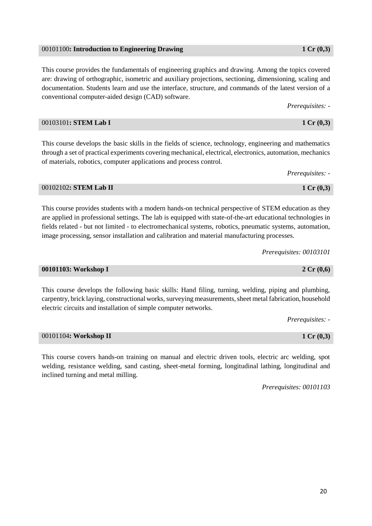#### 00101100**: Introduction to Engineering Drawing 1 Cr (0,3)**

This course provides the fundamentals of engineering graphics and drawing. Among the topics covered are: drawing of orthographic, isometric and auxiliary projections, sectioning, dimensioning, scaling and documentation. Students learn and use the interface, structure, and commands of the latest version of a conventional computer-aided design (CAD) software.

*Prerequisites: -*

This course develops the basic skills in the fields of science, technology, engineering and mathematics through a set of practical experiments covering mechanical, electrical, electronics, automation, mechanics of materials, robotics, computer applications and process control.

*Prerequisites: -*

### 00102102**: STEM Lab II 1 Cr (0,3)**

This course provides students with a modern hands-on technical perspective of STEM education as they are applied in professional settings. The lab is equipped with state-of-the-art educational technologies in fields related - but not limited - to electromechanical systems, robotics, pneumatic systems, automation, image processing, sensor installation and calibration and material manufacturing processes.

*Prerequisites: 00103101*

### **00101103: Workshop I 2 Cr (0,6)**

This course develops the following basic skills: Hand filing, turning, welding, piping and plumbing, carpentry, brick laying, constructional works, surveying measurements, sheet metal fabrication, household electric circuits and installation of simple computer networks.

*Prerequisites: -*

### 00101104**: Workshop II 1 Cr (0,3)**

This course covers hands-on training on manual and electric driven tools, electric arc welding, spot welding, resistance welding, sand casting, sheet-metal forming, longitudinal lathing, longitudinal and inclined turning and metal milling.

*Prerequisites: 00101103*

### 00103101**: STEM Lab I 1 Cr (0,3)**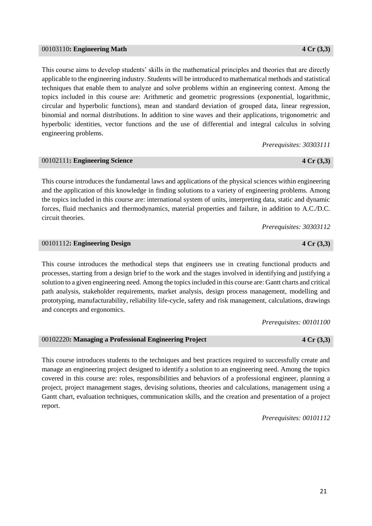#### 00103110**: Engineering Math 4 Cr (3,3)**

This course aims to develop students' skills in the mathematical principles and theories that are directly applicable to the engineering industry. Students will be introduced to mathematical methods and statistical techniques that enable them to analyze and solve problems within an engineering context. Among the topics included in this course are: Arithmetic and geometric progressions (exponential, logarithmic, circular and hyperbolic functions), mean and standard deviation of grouped data, linear regression, binomial and normal distributions. In addition to sine waves and their applications, trigonometric and hyperbolic identities, vector functions and the use of differential and integral calculus in solving engineering problems.

*Prerequisites: 30303111*

### This course introduces the fundamental laws and applications of the physical sciences within engineering and the application of this knowledge in finding solutions to a variety of engineering problems. Among the topics included in this course are: international system of units, interpreting data, static and dynamic forces, fluid mechanics and thermodynamics, material properties and failure, in addition to A.C./D.C. circuit theories.

*Prerequisites: 30303112*

#### 00101112**: Engineering Design 4 Cr (3,3)**

This course introduces the methodical steps that engineers use in creating functional products and processes, starting from a design brief to the work and the stages involved in identifying and justifying a solution to a given engineering need. Among the topics included in this course are: Gantt charts and critical path analysis, stakeholder requirements, market analysis, design process management, modelling and prototyping, manufacturability, reliability life-cycle, safety and risk management, calculations, drawings and concepts and ergonomics.

*Prerequisites: 00101100*

#### 00102220**: Managing a Professional Engineering Project 4 Cr (3,3)**

This course introduces students to the techniques and best practices required to successfully create and manage an engineering project designed to identify a solution to an engineering need. Among the topics covered in this course are: roles, responsibilities and behaviors of a professional engineer, planning a project, project management stages, devising solutions, theories and calculations, management using a Gantt chart, evaluation techniques, communication skills, and the creation and presentation of a project report.

*Prerequisites: 00101112*

00102111**: Engineering Science 4 Cr (3,3)**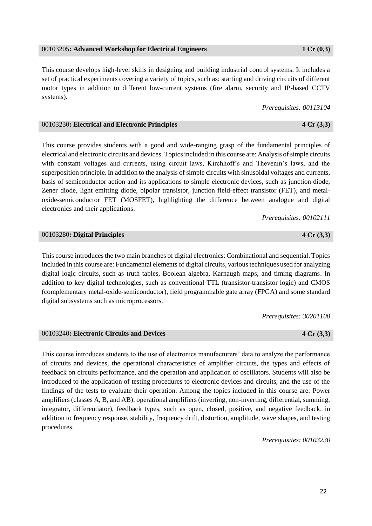### 00103205**: Advanced Workshop for Electrical Engineers 1 Cr (0,3)**

This course develops high-level skills in designing and building industrial control systems. It includes a set of practical experiments covering a variety of topics, such as: starting and driving circuits of different motor types in addition to different low-current systems (fire alarm, security and IP-based CCTV systems).

*Prerequisites: 00113104*

### 00103230**: Electrical and Electronic Principles 4 Cr (3,3)**

This course provides students with a good and wide-ranging grasp of the fundamental principles of electrical and electronic circuits and devices. Topics included in this course are: Analysis of simple circuits with constant voltages and currents, using circuit laws, Kirchhoff's and Thevenin's laws, and the superposition principle. In addition to the analysis of simple circuits with sinusoidal voltages and currents, basis of semiconductor action and its applications to simple electronic devices, such as junction diode, Zener diode, light emitting diode, bipolar transistor, junction field-effect transistor (FET), and metaloxide-semiconductor FET (MOSFET), highlighting the difference between analogue and digital electronics and their applications.

*Prerequisites: 00102111*

#### 00103280**: Digital Principles 4 Cr (3,3)**

This course introduces the two main branches of digital electronics: Combinational and sequential. Topics included in this course are: Fundamental elements of digital circuits, various techniques used for analyzing digital logic circuits, such as truth tables, Boolean algebra, Karnaugh maps, and timing diagrams. In addition to key digital technologies, such as conventional TTL (transistor-transistor logic) and CMOS (complementary metal-oxide-semiconductor), field programmable gate array (FPGA) and some standard digital subsystems such as microprocessors.

*Prerequisites: 30201100*

#### 00103240**: Electronic Circuits and Devices 4 Cr (3,3)**

This course introduces students to the use of electronics manufacturers' data to analyze the performance of circuits and devices, the operational characteristics of amplifier circuits, the types and effects of feedback on circuits performance, and the operation and application of oscillators. Students will also be introduced to the application of testing procedures to electronic devices and circuits, and the use of the findings of the tests to evaluate their operation. Among the topics included in this course are: Power amplifiers (classes A, B, and AB), operational amplifiers (inverting, non-inverting, differential, summing, integrator, differentiator), feedback types, such as open, closed, positive, and negative feedback, in addition to frequency response, stability, frequency drift, distortion, amplitude, wave shapes, and testing procedures.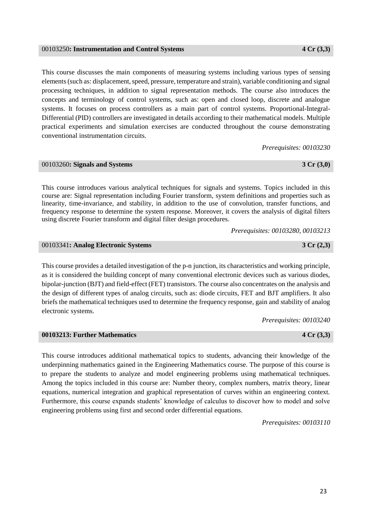#### 00103250**: Instrumentation and Control Systems 4 Cr (3,3)**

This course discusses the main components of measuring systems including various types of sensing elements (such as: displacement, speed, pressure, temperature and strain), variable conditioning and signal processing techniques, in addition to signal representation methods. The course also introduces the concepts and terminology of control systems, such as: open and closed loop, discrete and analogue systems. It focuses on process controllers as a main part of control systems. Proportional-Integral-Differential (PID) controllers are investigated in details according to their mathematical models. Multiple practical experiments and simulation exercises are conducted throughout the course demonstrating conventional instrumentation circuits.

*Prerequisites: 00103230*

### 00103260**: Signals and Systems 3 Cr (3,0)**

This course introduces various analytical techniques for signals and systems. Topics included in this course are: Signal representation including Fourier transform, system definitions and properties such as linearity, time-invariance, and stability, in addition to the use of convolution, transfer functions, and frequency response to determine the system response. Moreover, it covers the analysis of digital filters using discrete Fourier transform and digital filter design procedures.

*Prerequisites: 00103280, 00103213*

00103341**: Analog Electronic Systems 3 Cr (2,3)**

This course provides a detailed investigation of the p-n junction, its characteristics and working principle, as it is considered the building concept of many conventional electronic devices such as various diodes, bipolar-junction (BJT) and field-effect (FET) transistors. The course also concentrates on the analysis and the design of different types of analog circuits, such as: diode circuits, FET and BJT amplifiers. It also briefs the mathematical techniques used to determine the frequency response, gain and stability of analog electronic systems.

*Prerequisites: 00103240*

**00103213: Further Mathematics 4 Cr (3,3)**

This course introduces additional mathematical topics to students, advancing their knowledge of the underpinning mathematics gained in the Engineering Mathematics course. The purpose of this course is to prepare the students to analyze and model engineering problems using mathematical techniques. Among the topics included in this course are: Number theory, complex numbers, matrix theory, linear equations, numerical integration and graphical representation of curves within an engineering context. Furthermore, this course expands students' knowledge of calculus to discover how to model and solve engineering problems using first and second order differential equations.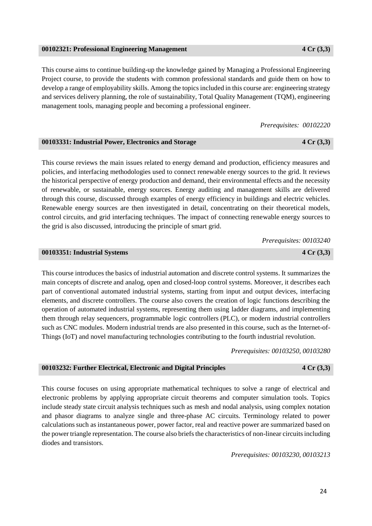24

#### **00102321: Professional Engineering Management 4 Cr (3,3)**

This course aims to continue building-up the knowledge gained by Managing a Professional Engineering Project course, to provide the students with common professional standards and guide them on how to develop a range of employability skills. Among the topics included in this course are: engineering strategy and services delivery planning, the role of sustainability, Total Quality Management (TQM), engineering management tools, managing people and becoming a professional engineer.

*Prerequisites: 00102220*

### **00103331: Industrial Power, Electronics and Storage 4 Cr (3,3)**

This course reviews the main issues related to energy demand and production, efficiency measures and policies, and interfacing methodologies used to connect renewable energy sources to the grid. It reviews the historical perspective of energy production and demand, their environmental effects and the necessity of renewable, or sustainable, energy sources. Energy auditing and management skills are delivered through this course, discussed through examples of energy efficiency in buildings and electric vehicles. Renewable energy sources are then investigated in detail, concentrating on their theoretical models, control circuits, and grid interfacing techniques. The impact of connecting renewable energy sources to the grid is also discussed, introducing the principle of smart grid.

*Prerequisites: 00103240*

### **00103351: Industrial Systems 4 Cr (3,3)**

This course introduces the basics of industrial automation and discrete control systems. It summarizes the main concepts of discrete and analog, open and closed-loop control systems. Moreover, it describes each part of conventional automated industrial systems, starting from input and output devices, interfacing elements, and discrete controllers. The course also covers the creation of logic functions describing the operation of automated industrial systems, representing them using ladder diagrams, and implementing them through relay sequencers, programmable logic controllers (PLC), or modern industrial controllers such as CNC modules. Modern industrial trends are also presented in this course, such as the Internet-of-Things (IoT) and novel manufacturing technologies contributing to the fourth industrial revolution.

*Prerequisites: 00103250, 00103280*

### **00103232: Further Electrical, Electronic and Digital Principles 4 Cr (3,3)**

This course focuses on using appropriate mathematical techniques to solve a range of electrical and electronic problems by applying appropriate circuit theorems and computer simulation tools. Topics include steady state circuit analysis techniques such as mesh and nodal analysis, using complex notation and phasor diagrams to analyze single and three-phase AC circuits. Terminology related to power calculations such as instantaneous power, power factor, real and reactive power are summarized based on the power triangle representation. The course also briefs the characteristics of non-linear circuits including diodes and transistors.

*Prerequisites: 00103230, 00103213*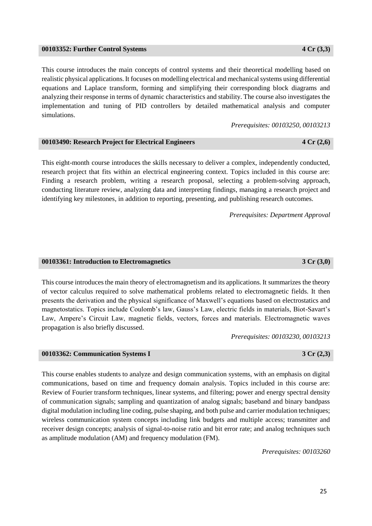#### **00103352: Further Control Systems 4 Cr (3,3)**

This course introduces the main concepts of control systems and their theoretical modelling based on realistic physical applications. It focuses on modelling electrical and mechanical systems using differential equations and Laplace transform, forming and simplifying their corresponding block diagrams and analyzing their response in terms of dynamic characteristics and stability. The course also investigates the implementation and tuning of PID controllers by detailed mathematical analysis and computer simulations.

*Prerequisites: 00103250, 00103213*

### **00103490: Research Project for Electrical Engineers 4 Cr (2,6)**

This eight-month course introduces the skills necessary to deliver a complex, independently conducted, research project that fits within an electrical engineering context. Topics included in this course are: Finding a research problem, writing a research proposal, selecting a problem-solving approach, conducting literature review, analyzing data and interpreting findings, managing a research project and identifying key milestones, in addition to reporting, presenting, and publishing research outcomes.

*Prerequisites: Department Approval*

#### **00103361: Introduction to Electromagnetics 3 Cr (3,0)**

This course introduces the main theory of electromagnetism and its applications. It summarizes the theory of vector calculus required to solve mathematical problems related to electromagnetic fields. It then presents the derivation and the physical significance of Maxwell's equations based on electrostatics and magnetostatics. Topics include Coulomb's law, Gauss's Law, electric fields in materials, Biot-Savart's Law, Ampere's Circuit Law, magnetic fields, vectors, forces and materials. Electromagnetic waves propagation is also briefly discussed.

*Prerequisites: 00103230, 00103213*

### **00103362: Communication Systems I 3 Cr (2,3)**

This course enables students to analyze and design communication systems, with an emphasis on digital communications, based on time and frequency domain analysis. Topics included in this course are: Review of Fourier transform techniques, linear systems, and filtering; power and energy spectral density of communication signals; sampling and quantization of analog signals; baseband and binary bandpass digital modulation including line coding, pulse shaping, and both pulse and carrier modulation techniques; wireless communication system concepts including link budgets and multiple access; transmitter and receiver design concepts; analysis of signal-to-noise ratio and bit error rate; and analog techniques such as amplitude modulation (AM) and frequency modulation (FM).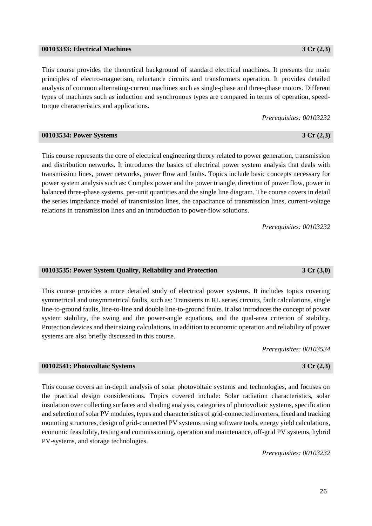#### **00103333: Electrical Machines 3 Cr (2,3)**

This course provides the theoretical background of standard electrical machines. It presents the main principles of electro-magnetism, reluctance circuits and transformers operation. It provides detailed analysis of common alternating-current machines such as single-phase and three-phase motors. Different types of machines such as induction and synchronous types are compared in terms of operation, speedtorque characteristics and applications.

This course represents the core of electrical engineering theory related to power generation, transmission and distribution networks. It introduces the basics of electrical power system analysis that deals with transmission lines, power networks, power flow and faults. Topics include basic concepts necessary for power system analysis such as: Complex power and the power triangle, direction of power flow, power in balanced three-phase systems, per-unit quantities and the single line diagram. The course covers in detail the series impedance model of transmission lines, the capacitance of transmission lines, current-voltage

*Prerequisites: 00103232*

*Prerequisites: 00103232*

#### **00103535: Power System Quality, Reliability and Protection 3 Cr (3,0)**

relations in transmission lines and an introduction to power-flow solutions.

This course provides a more detailed study of electrical power systems. It includes topics covering symmetrical and unsymmetrical faults, such as: Transients in RL series circuits, fault calculations, single line-to-ground faults, line-to-line and double line-to-ground faults. It also introduces the concept of power system stability, the swing and the power-angle equations, and the qual-area criterion of stability. Protection devices and their sizing calculations, in addition to economic operation and reliability of power systems are also briefly discussed in this course.

*Prerequisites: 00103534*

#### **00102541: Photovoltaic Systems 3 Cr (2,3)**

This course covers an in-depth analysis of solar photovoltaic systems and technologies, and focuses on the practical design considerations. Topics covered include: Solar radiation characteristics, solar insolation over collecting surfaces and shading analysis, categories of photovoltaic systems, specification and selection of solar PV modules, types and characteristics of grid-connected inverters, fixed and tracking mounting structures, design of grid-connected PV systems using software tools, energy yield calculations, economic feasibility, testing and commissioning, operation and maintenance, off-grid PV systems, hybrid PV-systems, and storage technologies.

*Prerequisites: 00103232*

26

**00103534: Power Systems 3 Cr (2,3)**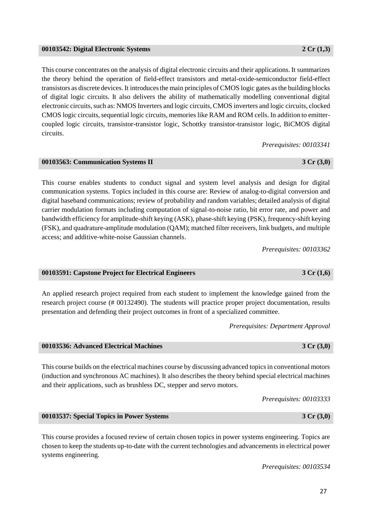### **00103542: Digital Electronic Systems 2 Cr (1,3)**

This course concentrates on the analysis of digital electronic circuits and their applications. It summarizes the theory behind the operation of field-effect transistors and metal-oxide-semiconductor field-effect transistors as discrete devices. It introduces the main principles of CMOS logic gates as the building blocks of digital logic circuits. It also delivers the ability of mathematically modelling conventional digital electronic circuits, such as: NMOS Inverters and logic circuits, CMOS inverters and logic circuits, clocked CMOS logic circuits, sequential logic circuits, memories like RAM and ROM cells. In addition to emittercoupled logic circuits, transistor-transistor logic, Schottky transistor-transistor logic, BiCMOS digital circuits.

*Prerequisites: 00103341*

This course enables students to conduct signal and system level analysis and design for digital communication systems. Topics included in this course are: Review of analog-to-digital conversion and digital baseband communications; review of probability and random variables; detailed analysis of digital carrier modulation formats including computation of signal-to-noise ratio, bit error rate, and power and bandwidth efficiency for amplitude-shift keying (ASK), phase-shift keying (PSK), frequency-shift keying (FSK), and quadrature-amplitude modulation (QAM); matched filter receivers, link budgets, and multiple access; and additive-white-noise Gaussian channels.

**00103563: Communication Systems II 3 Cr (3,0)**

*Prerequisites: 00103362*

### **00103591: Capstone Project for Electrical Engineers 3 Cr (1,6)**

An applied research project required from each student to implement the knowledge gained from the research project course (# 00132490). The students will practice proper project documentation, results presentation and defending their project outcomes in front of a specialized committee.

*Prerequisites: Department Approval*

# **00103536: Advanced Electrical Machines 3 Cr (3,0)**

This course builds on the electrical machines course by discussing advanced topics in conventional motors (induction and synchronous AC machines). It also describes the theory behind special electrical machines and their applications, such as brushless DC, stepper and servo motors.

*Prerequisites: 00103333*

### **00103537: Special Topics in Power Systems 3 Cr (3,0)**

This course provides a focused review of certain chosen topics in power systems engineering. Topics are chosen to keep the students up-to-date with the current technologies and advancements in electrical power systems engineering.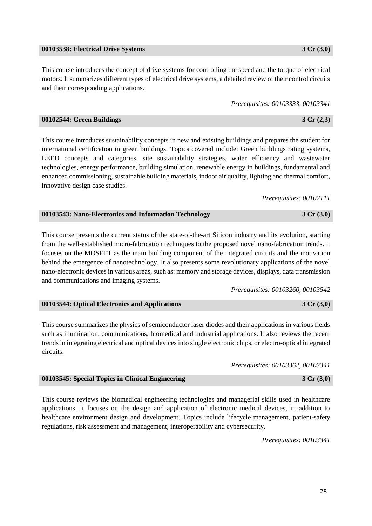#### **00103538: Electrical Drive Systems 3 Cr (3,0)**

This course introduces the concept of drive systems for controlling the speed and the torque of electrical motors. It summarizes different types of electrical drive systems, a detailed review of their control circuits and their corresponding applications.

*Prerequisites: 00103333, 00103341*

| 00102544: Green Buildings | $3 \, Cr \, (2,3)$ |
|---------------------------|--------------------|
|                           |                    |

This course introduces sustainability concepts in new and existing buildings and prepares the student for international certification in green buildings. Topics covered include: Green buildings rating systems, LEED concepts and categories, site sustainability strategies, water efficiency and wastewater technologies, energy performance, building simulation, renewable energy in buildings, fundamental and enhanced commissioning, sustainable building materials, indoor air quality, lighting and thermal comfort, innovative design case studies.

*Prerequisites: 00102111*

| 00103543: Nano-Electronics and Information Technology | 3 Cr(3,0) |
|-------------------------------------------------------|-----------|
|-------------------------------------------------------|-----------|

This course presents the current status of the state-of-the-art Silicon industry and its evolution, starting from the well-established micro-fabrication techniques to the proposed novel nano-fabrication trends. It focuses on the MOSFET as the main building component of the integrated circuits and the motivation behind the emergence of nanotechnology. It also presents some revolutionary applications of the novel nano-electronic devices in various areas, such as: memory and storage devices, displays, data transmission and communications and imaging systems.

*Prerequisites: 00103260, 00103542*

*Prerequisites: 00103362, 00103341*

| 00103544: Optical Electronics and Applications | 3 Cr(3,0) |
|------------------------------------------------|-----------|
|------------------------------------------------|-----------|

This course summarizes the physics of semiconductor laser diodes and their applications in various fields such as illumination, communications, biomedical and industrial applications. It also reviews the recent trends in integrating electrical and optical devices into single electronic chips, or electro-optical integrated circuits.

| 00103545: Special Topics in Clinical Engineering | $3 \, Cr \, (3,0)$ |
|--------------------------------------------------|--------------------|
|                                                  |                    |

This course reviews the biomedical engineering technologies and managerial skills used in healthcare applications. It focuses on the design and application of electronic medical devices, in addition to healthcare environment design and development. Topics include lifecycle management, patient-safety regulations, risk assessment and management, interoperability and cybersecurity.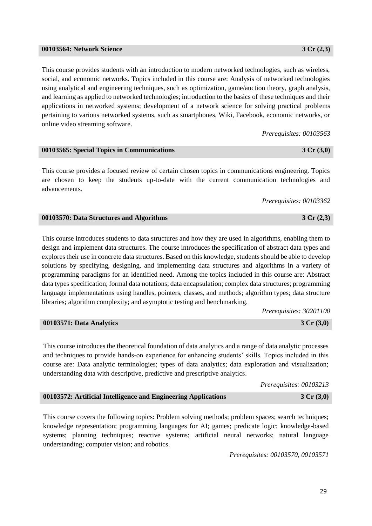#### pertaining to various networked systems, such as smartphones, Wiki, Facebook, economic networks, or

*Prerequisites: 00103563*

### **00103565: Special Topics in Communications 3 Cr (3,0)**

This course provides students with an introduction to modern networked technologies, such as wireless, social, and economic networks. Topics included in this course are: Analysis of networked technologies using analytical and engineering techniques, such as optimization, game/auction theory, graph analysis, and learning as applied to networked technologies; introduction to the basics of these techniques and their applications in networked systems; development of a network science for solving practical problems

This course provides a focused review of certain chosen topics in communications engineering. Topics are chosen to keep the students up-to-date with the current communication technologies and advancements.

*Prerequisites: 00103362*

### **00103570: Data Structures and Algorithms 3 Cr (2,3)**

This course introduces students to data structures and how they are used in algorithms, enabling them to design and implement data structures. The course introduces the specification of abstract data types and explores their use in concrete data structures. Based on this knowledge, students should be able to develop solutions by specifying, designing, and implementing data structures and algorithms in a variety of programming paradigms for an identified need. Among the topics included in this course are: Abstract data types specification; formal data notations; data encapsulation; complex data structures; programming language implementations using handles, pointers, classes, and methods; algorithm types; data structure libraries; algorithm complexity; and asymptotic testing and benchmarking.

*Prerequisites: 30201100*

### **00103571: Data Analytics 3 Cr (3,0)**

This course introduces the theoretical foundation of data analytics and a range of data analytic processes and techniques to provide hands-on experience for enhancing students' skills. Topics included in this course are: Data analytic terminologies; types of data analytics; data exploration and visualization; understanding data with descriptive, predictive and prescriptive analytics.

*Prerequisites: 00103213*

**00103572: Artificial Intelligence and Engineering Applications 3 Cr (3,0)**

This course covers the following topics: Problem solving methods; problem spaces; search techniques; knowledge representation; programming languages for AI; games; predicate logic; knowledge-based systems; planning techniques; reactive systems; artificial neural networks; natural language understanding; computer vision; and robotics.

*Prerequisites: 00103570, 00103571*

online video streaming software.

29